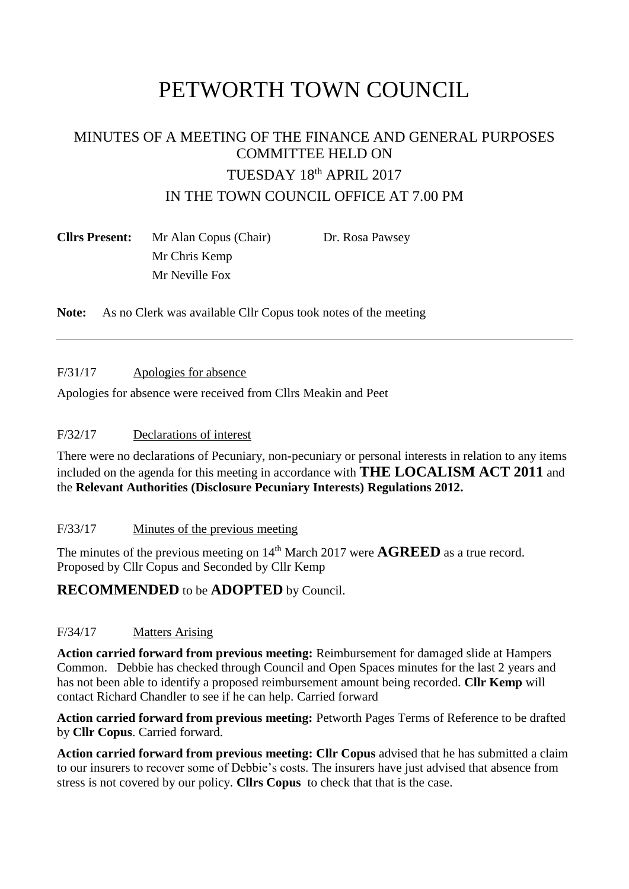# PETWORTH TOWN COUNCIL

# MINUTES OF A MEETING OF THE FINANCE AND GENERAL PURPOSES COMMITTEE HELD ON TUESDAY 18th APRIL 2017 IN THE TOWN COUNCIL OFFICE AT 7.00 PM

| Mr Alan Copus (Chair) | Dr. Rosa Pawsey |  |
|-----------------------|-----------------|--|
| Mr Chris Kemp         |                 |  |
| Mr Neville Fox        |                 |  |
|                       |                 |  |

**Note:** As no Clerk was available Cllr Copus took notes of the meeting

#### F/31/17 Apologies for absence

Apologies for absence were received from Cllrs Meakin and Peet

#### F/32/17 Declarations of interest

There were no declarations of Pecuniary, non-pecuniary or personal interests in relation to any items included on the agenda for this meeting in accordance with **THE LOCALISM ACT 2011** and the **Relevant Authorities (Disclosure Pecuniary Interests) Regulations 2012.**

#### F/33/17 Minutes of the previous meeting

The minutes of the previous meeting on 14<sup>th</sup> March 2017 were **AGREED** as a true record. Proposed by Cllr Copus and Seconded by Cllr Kemp

# **RECOMMENDED** to be **ADOPTED** by Council.

#### F/34/17 Matters Arising

**Action carried forward from previous meeting:** Reimbursement for damaged slide at Hampers Common. Debbie has checked through Council and Open Spaces minutes for the last 2 years and has not been able to identify a proposed reimbursement amount being recorded. **Cllr Kemp** will contact Richard Chandler to see if he can help. Carried forward

**Action carried forward from previous meeting:** Petworth Pages Terms of Reference to be drafted by **Cllr Copus**. Carried forward.

**Action carried forward from previous meeting: Cllr Copus** advised that he has submitted a claim to our insurers to recover some of Debbie's costs. The insurers have just advised that absence from stress is not covered by our policy. **Cllrs Copus** to check that that is the case.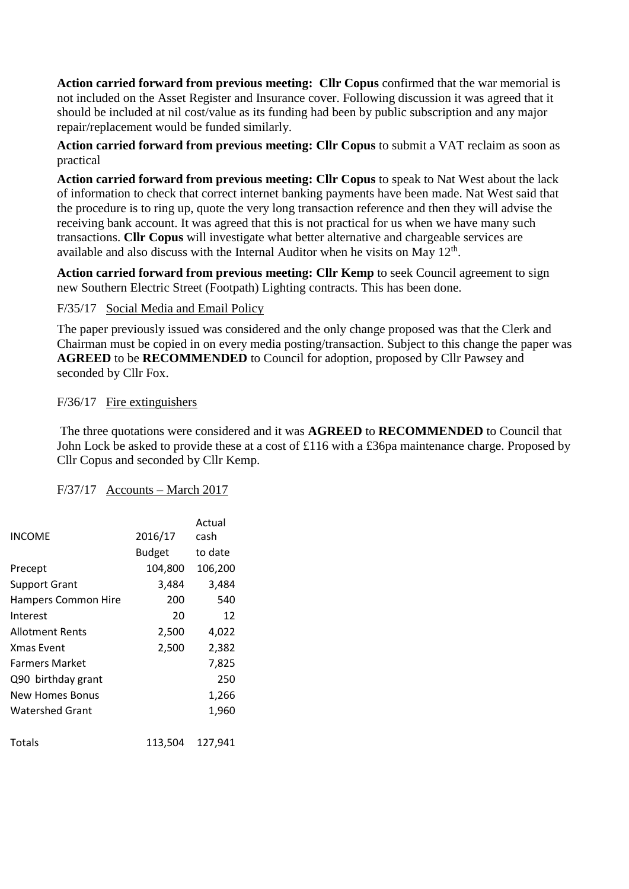**Action carried forward from previous meeting: Cllr Copus** confirmed that the war memorial is not included on the Asset Register and Insurance cover. Following discussion it was agreed that it should be included at nil cost/value as its funding had been by public subscription and any major repair/replacement would be funded similarly.

Action carried forward from previous meeting: Cllr Copus to submit a VAT reclaim as soon as practical

**Action carried forward from previous meeting: Cllr Copus** to speak to Nat West about the lack of information to check that correct internet banking payments have been made. Nat West said that the procedure is to ring up, quote the very long transaction reference and then they will advise the receiving bank account. It was agreed that this is not practical for us when we have many such transactions. **Cllr Copus** will investigate what better alternative and chargeable services are available and also discuss with the Internal Auditor when he visits on May  $12<sup>th</sup>$ .

**Action carried forward from previous meeting: Cllr Kemp** to seek Council agreement to sign new Southern Electric Street (Footpath) Lighting contracts. This has been done.

F/35/17 Social Media and Email Policy

The paper previously issued was considered and the only change proposed was that the Clerk and Chairman must be copied in on every media posting/transaction. Subject to this change the paper was **AGREED** to be **RECOMMENDED** to Council for adoption, proposed by Cllr Pawsey and seconded by Cllr Fox.

#### F/36/17 Fire extinguishers

The three quotations were considered and it was **AGREED** to **RECOMMENDED** to Council that John Lock be asked to provide these at a cost of £116 with a £36pa maintenance charge. Proposed by Cllr Copus and seconded by Cllr Kemp.

#### F/37/17 Accounts – March 2017

|                            |               | Actual  |
|----------------------------|---------------|---------|
| <b>INCOME</b>              | 2016/17       | cash    |
|                            | <b>Budget</b> | to date |
| Precept                    | 104,800       | 106,200 |
| <b>Support Grant</b>       | 3,484         | 3,484   |
| <b>Hampers Common Hire</b> | 200           | 540     |
| Interest                   | 20            | 12      |
| Allotment Rents            | 2,500         | 4,022   |
| <b>Xmas Fvent</b>          | 2,500         | 2,382   |
| <b>Farmers Market</b>      |               | 7,825   |
| Q90 birthday grant         |               | 250     |
| <b>New Homes Bonus</b>     |               | 1,266   |
| Watershed Grant            |               | 1,960   |
| Totals                     | 113,504       | 127,941 |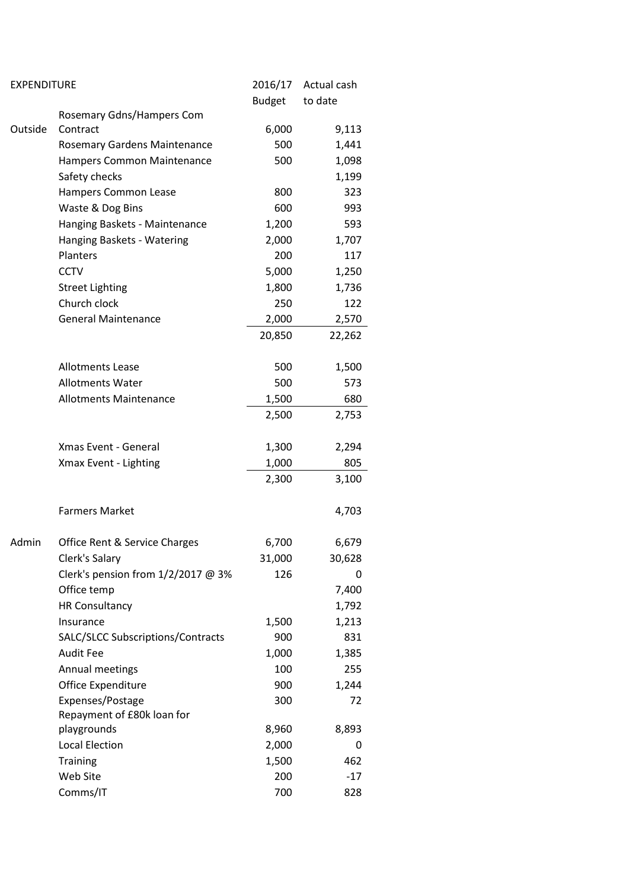| <b>Budget</b><br>to date<br>Rosemary Gdns/Hampers Com<br>Contract<br>6,000<br>9,113<br><b>Rosemary Gardens Maintenance</b><br>500<br>1,441<br>Hampers Common Maintenance<br>1,098<br>500<br>Safety checks<br>1,199<br>323<br>Hampers Common Lease<br>800<br>600<br>Waste & Dog Bins<br>993<br>Hanging Baskets - Maintenance<br>1,200<br>593<br>Hanging Baskets - Watering<br>2,000<br>1,707<br>Planters<br>200<br>117<br><b>CCTV</b><br>5,000<br>1,250<br><b>Street Lighting</b><br>1,800<br>1,736<br>Church clock<br>250<br>122<br><b>General Maintenance</b><br>2,000<br>2,570<br>20,850<br>22,262<br><b>Allotments Lease</b><br>500<br>1,500<br><b>Allotments Water</b><br>500<br>573<br><b>Allotments Maintenance</b><br>1,500<br>680<br>2,500<br>2,753<br>Xmas Event - General<br>1,300<br>2,294<br>1,000<br>805<br>Xmax Event - Lighting<br>2,300<br>3,100<br><b>Farmers Market</b><br>4,703<br>6,700<br>Office Rent & Service Charges<br>6,679<br>Clerk's Salary<br>31,000<br>30,628<br>Clerk's pension from $1/2/2017$ @ 3%<br>126<br>0<br>Office temp<br>7,400<br><b>HR Consultancy</b><br>1,792<br>1,213<br>Insurance<br>1,500<br>SALC/SLCC Subscriptions/Contracts<br>831<br>900<br><b>Audit Fee</b><br>1,385<br>1,000<br>Annual meetings<br>100<br>255<br>Office Expenditure<br>1,244<br>900<br>Expenses/Postage<br>300<br>72<br>Repayment of £80k loan for<br>playgrounds<br>8,960<br>8,893<br><b>Local Election</b><br>2,000<br>0<br>462 | <b>EXPENDITURE</b> |                 | 2016/17 | Actual cash |
|--------------------------------------------------------------------------------------------------------------------------------------------------------------------------------------------------------------------------------------------------------------------------------------------------------------------------------------------------------------------------------------------------------------------------------------------------------------------------------------------------------------------------------------------------------------------------------------------------------------------------------------------------------------------------------------------------------------------------------------------------------------------------------------------------------------------------------------------------------------------------------------------------------------------------------------------------------------------------------------------------------------------------------------------------------------------------------------------------------------------------------------------------------------------------------------------------------------------------------------------------------------------------------------------------------------------------------------------------------------------------------------------------------------------------------------------------------|--------------------|-----------------|---------|-------------|
|                                                                                                                                                                                                                                                                                                                                                                                                                                                                                                                                                                                                                                                                                                                                                                                                                                                                                                                                                                                                                                                                                                                                                                                                                                                                                                                                                                                                                                                        |                    |                 |         |             |
|                                                                                                                                                                                                                                                                                                                                                                                                                                                                                                                                                                                                                                                                                                                                                                                                                                                                                                                                                                                                                                                                                                                                                                                                                                                                                                                                                                                                                                                        |                    |                 |         |             |
|                                                                                                                                                                                                                                                                                                                                                                                                                                                                                                                                                                                                                                                                                                                                                                                                                                                                                                                                                                                                                                                                                                                                                                                                                                                                                                                                                                                                                                                        | Outside            |                 |         |             |
|                                                                                                                                                                                                                                                                                                                                                                                                                                                                                                                                                                                                                                                                                                                                                                                                                                                                                                                                                                                                                                                                                                                                                                                                                                                                                                                                                                                                                                                        |                    |                 |         |             |
|                                                                                                                                                                                                                                                                                                                                                                                                                                                                                                                                                                                                                                                                                                                                                                                                                                                                                                                                                                                                                                                                                                                                                                                                                                                                                                                                                                                                                                                        |                    |                 |         |             |
|                                                                                                                                                                                                                                                                                                                                                                                                                                                                                                                                                                                                                                                                                                                                                                                                                                                                                                                                                                                                                                                                                                                                                                                                                                                                                                                                                                                                                                                        |                    |                 |         |             |
|                                                                                                                                                                                                                                                                                                                                                                                                                                                                                                                                                                                                                                                                                                                                                                                                                                                                                                                                                                                                                                                                                                                                                                                                                                                                                                                                                                                                                                                        |                    |                 |         |             |
|                                                                                                                                                                                                                                                                                                                                                                                                                                                                                                                                                                                                                                                                                                                                                                                                                                                                                                                                                                                                                                                                                                                                                                                                                                                                                                                                                                                                                                                        |                    |                 |         |             |
|                                                                                                                                                                                                                                                                                                                                                                                                                                                                                                                                                                                                                                                                                                                                                                                                                                                                                                                                                                                                                                                                                                                                                                                                                                                                                                                                                                                                                                                        |                    |                 |         |             |
|                                                                                                                                                                                                                                                                                                                                                                                                                                                                                                                                                                                                                                                                                                                                                                                                                                                                                                                                                                                                                                                                                                                                                                                                                                                                                                                                                                                                                                                        |                    |                 |         |             |
|                                                                                                                                                                                                                                                                                                                                                                                                                                                                                                                                                                                                                                                                                                                                                                                                                                                                                                                                                                                                                                                                                                                                                                                                                                                                                                                                                                                                                                                        |                    |                 |         |             |
|                                                                                                                                                                                                                                                                                                                                                                                                                                                                                                                                                                                                                                                                                                                                                                                                                                                                                                                                                                                                                                                                                                                                                                                                                                                                                                                                                                                                                                                        |                    |                 |         |             |
|                                                                                                                                                                                                                                                                                                                                                                                                                                                                                                                                                                                                                                                                                                                                                                                                                                                                                                                                                                                                                                                                                                                                                                                                                                                                                                                                                                                                                                                        |                    |                 |         |             |
|                                                                                                                                                                                                                                                                                                                                                                                                                                                                                                                                                                                                                                                                                                                                                                                                                                                                                                                                                                                                                                                                                                                                                                                                                                                                                                                                                                                                                                                        |                    |                 |         |             |
|                                                                                                                                                                                                                                                                                                                                                                                                                                                                                                                                                                                                                                                                                                                                                                                                                                                                                                                                                                                                                                                                                                                                                                                                                                                                                                                                                                                                                                                        |                    |                 |         |             |
|                                                                                                                                                                                                                                                                                                                                                                                                                                                                                                                                                                                                                                                                                                                                                                                                                                                                                                                                                                                                                                                                                                                                                                                                                                                                                                                                                                                                                                                        |                    |                 |         |             |
|                                                                                                                                                                                                                                                                                                                                                                                                                                                                                                                                                                                                                                                                                                                                                                                                                                                                                                                                                                                                                                                                                                                                                                                                                                                                                                                                                                                                                                                        |                    |                 |         |             |
|                                                                                                                                                                                                                                                                                                                                                                                                                                                                                                                                                                                                                                                                                                                                                                                                                                                                                                                                                                                                                                                                                                                                                                                                                                                                                                                                                                                                                                                        |                    |                 |         |             |
|                                                                                                                                                                                                                                                                                                                                                                                                                                                                                                                                                                                                                                                                                                                                                                                                                                                                                                                                                                                                                                                                                                                                                                                                                                                                                                                                                                                                                                                        |                    |                 |         |             |
|                                                                                                                                                                                                                                                                                                                                                                                                                                                                                                                                                                                                                                                                                                                                                                                                                                                                                                                                                                                                                                                                                                                                                                                                                                                                                                                                                                                                                                                        |                    |                 |         |             |
|                                                                                                                                                                                                                                                                                                                                                                                                                                                                                                                                                                                                                                                                                                                                                                                                                                                                                                                                                                                                                                                                                                                                                                                                                                                                                                                                                                                                                                                        |                    |                 |         |             |
|                                                                                                                                                                                                                                                                                                                                                                                                                                                                                                                                                                                                                                                                                                                                                                                                                                                                                                                                                                                                                                                                                                                                                                                                                                                                                                                                                                                                                                                        |                    |                 |         |             |
|                                                                                                                                                                                                                                                                                                                                                                                                                                                                                                                                                                                                                                                                                                                                                                                                                                                                                                                                                                                                                                                                                                                                                                                                                                                                                                                                                                                                                                                        |                    |                 |         |             |
|                                                                                                                                                                                                                                                                                                                                                                                                                                                                                                                                                                                                                                                                                                                                                                                                                                                                                                                                                                                                                                                                                                                                                                                                                                                                                                                                                                                                                                                        |                    |                 |         |             |
|                                                                                                                                                                                                                                                                                                                                                                                                                                                                                                                                                                                                                                                                                                                                                                                                                                                                                                                                                                                                                                                                                                                                                                                                                                                                                                                                                                                                                                                        |                    |                 |         |             |
|                                                                                                                                                                                                                                                                                                                                                                                                                                                                                                                                                                                                                                                                                                                                                                                                                                                                                                                                                                                                                                                                                                                                                                                                                                                                                                                                                                                                                                                        |                    |                 |         |             |
|                                                                                                                                                                                                                                                                                                                                                                                                                                                                                                                                                                                                                                                                                                                                                                                                                                                                                                                                                                                                                                                                                                                                                                                                                                                                                                                                                                                                                                                        |                    |                 |         |             |
|                                                                                                                                                                                                                                                                                                                                                                                                                                                                                                                                                                                                                                                                                                                                                                                                                                                                                                                                                                                                                                                                                                                                                                                                                                                                                                                                                                                                                                                        |                    |                 |         |             |
|                                                                                                                                                                                                                                                                                                                                                                                                                                                                                                                                                                                                                                                                                                                                                                                                                                                                                                                                                                                                                                                                                                                                                                                                                                                                                                                                                                                                                                                        | Admin              |                 |         |             |
|                                                                                                                                                                                                                                                                                                                                                                                                                                                                                                                                                                                                                                                                                                                                                                                                                                                                                                                                                                                                                                                                                                                                                                                                                                                                                                                                                                                                                                                        |                    |                 |         |             |
|                                                                                                                                                                                                                                                                                                                                                                                                                                                                                                                                                                                                                                                                                                                                                                                                                                                                                                                                                                                                                                                                                                                                                                                                                                                                                                                                                                                                                                                        |                    |                 |         |             |
|                                                                                                                                                                                                                                                                                                                                                                                                                                                                                                                                                                                                                                                                                                                                                                                                                                                                                                                                                                                                                                                                                                                                                                                                                                                                                                                                                                                                                                                        |                    |                 |         |             |
|                                                                                                                                                                                                                                                                                                                                                                                                                                                                                                                                                                                                                                                                                                                                                                                                                                                                                                                                                                                                                                                                                                                                                                                                                                                                                                                                                                                                                                                        |                    |                 |         |             |
|                                                                                                                                                                                                                                                                                                                                                                                                                                                                                                                                                                                                                                                                                                                                                                                                                                                                                                                                                                                                                                                                                                                                                                                                                                                                                                                                                                                                                                                        |                    |                 |         |             |
|                                                                                                                                                                                                                                                                                                                                                                                                                                                                                                                                                                                                                                                                                                                                                                                                                                                                                                                                                                                                                                                                                                                                                                                                                                                                                                                                                                                                                                                        |                    |                 |         |             |
|                                                                                                                                                                                                                                                                                                                                                                                                                                                                                                                                                                                                                                                                                                                                                                                                                                                                                                                                                                                                                                                                                                                                                                                                                                                                                                                                                                                                                                                        |                    |                 |         |             |
|                                                                                                                                                                                                                                                                                                                                                                                                                                                                                                                                                                                                                                                                                                                                                                                                                                                                                                                                                                                                                                                                                                                                                                                                                                                                                                                                                                                                                                                        |                    |                 |         |             |
|                                                                                                                                                                                                                                                                                                                                                                                                                                                                                                                                                                                                                                                                                                                                                                                                                                                                                                                                                                                                                                                                                                                                                                                                                                                                                                                                                                                                                                                        |                    |                 |         |             |
|                                                                                                                                                                                                                                                                                                                                                                                                                                                                                                                                                                                                                                                                                                                                                                                                                                                                                                                                                                                                                                                                                                                                                                                                                                                                                                                                                                                                                                                        |                    |                 |         |             |
|                                                                                                                                                                                                                                                                                                                                                                                                                                                                                                                                                                                                                                                                                                                                                                                                                                                                                                                                                                                                                                                                                                                                                                                                                                                                                                                                                                                                                                                        |                    |                 |         |             |
|                                                                                                                                                                                                                                                                                                                                                                                                                                                                                                                                                                                                                                                                                                                                                                                                                                                                                                                                                                                                                                                                                                                                                                                                                                                                                                                                                                                                                                                        |                    |                 |         |             |
|                                                                                                                                                                                                                                                                                                                                                                                                                                                                                                                                                                                                                                                                                                                                                                                                                                                                                                                                                                                                                                                                                                                                                                                                                                                                                                                                                                                                                                                        |                    |                 |         |             |
|                                                                                                                                                                                                                                                                                                                                                                                                                                                                                                                                                                                                                                                                                                                                                                                                                                                                                                                                                                                                                                                                                                                                                                                                                                                                                                                                                                                                                                                        |                    | <b>Training</b> | 1,500   |             |
| Web Site<br>200<br>$-17$                                                                                                                                                                                                                                                                                                                                                                                                                                                                                                                                                                                                                                                                                                                                                                                                                                                                                                                                                                                                                                                                                                                                                                                                                                                                                                                                                                                                                               |                    |                 |         |             |
| 700<br>828                                                                                                                                                                                                                                                                                                                                                                                                                                                                                                                                                                                                                                                                                                                                                                                                                                                                                                                                                                                                                                                                                                                                                                                                                                                                                                                                                                                                                                             |                    | Comms/IT        |         |             |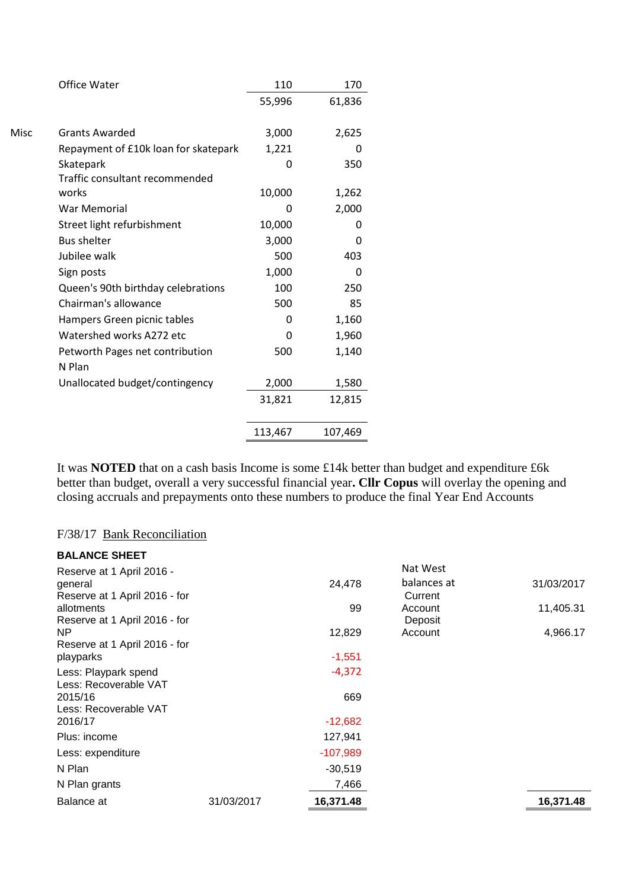|      | <b>Office Water</b>                  | 110     | 170      |
|------|--------------------------------------|---------|----------|
|      |                                      | 55,996  | 61,836   |
|      |                                      |         |          |
| Misc | <b>Grants Awarded</b>                | 3,000   | 2,625    |
|      | Repayment of £10k loan for skatepark | 1,221   | 0        |
|      | Skatepark                            | 0       | 350      |
|      | Traffic consultant recommended       |         |          |
|      | works                                | 10,000  | 1,262    |
|      | <b>War Memorial</b>                  | 0       | 2,000    |
|      | Street light refurbishment           | 10,000  | $\Omega$ |
|      | <b>Bus shelter</b>                   | 3,000   | 0        |
|      | Jubilee walk                         | 500     | 403      |
|      | Sign posts                           | 1,000   | 0        |
|      | Queen's 90th birthday celebrations   | 100     | 250      |
|      | Chairman's allowance                 | 500     | 85       |
|      | Hampers Green picnic tables          | 0       | 1,160    |
|      | Watershed works A272 etc             | 0       | 1,960    |
|      | Petworth Pages net contribution      | 500     | 1,140    |
|      | N Plan                               |         |          |
|      | Unallocated budget/contingency       | 2,000   | 1,580    |
|      |                                      | 31,821  | 12,815   |
|      |                                      |         |          |
|      |                                      | 113,467 | 107,469  |

It was **NOTED** that on a cash basis Income is some £14k better than budget and expenditure £6k better than budget, overall a very successful financial year**. Cllr Copus** will overlay the opening and closing accruals and prepayments onto these numbers to produce the final Year End Accounts

## F/38/17 Bank Reconciliation

| <b>BALANCE SHEET</b>             |            |            |             |            |
|----------------------------------|------------|------------|-------------|------------|
| Reserve at 1 April 2016 -        |            |            | Nat West    |            |
| general                          |            | 24,478     | balances at | 31/03/2017 |
| Reserve at 1 April 2016 - for    |            |            | Current     |            |
| allotments                       |            | 99         | Account     | 11,405.31  |
| Reserve at 1 April 2016 - for    |            |            | Deposit     |            |
| NP                               |            | 12,829     | Account     | 4,966.17   |
| Reserve at 1 April 2016 - for    |            |            |             |            |
| playparks                        |            | $-1,551$   |             |            |
| Less: Playpark spend             |            | $-4,372$   |             |            |
| Less: Recoverable VAT            |            |            |             |            |
| 2015/16<br>Less: Recoverable VAT |            | 669        |             |            |
| 2016/17                          |            | $-12,682$  |             |            |
|                                  |            |            |             |            |
| Plus: income                     |            | 127,941    |             |            |
| Less: expenditure                |            | $-107,989$ |             |            |
| N Plan                           |            | $-30,519$  |             |            |
| N Plan grants                    |            | 7,466      |             |            |
| Balance at                       | 31/03/2017 | 16,371.48  |             | 16,371.48  |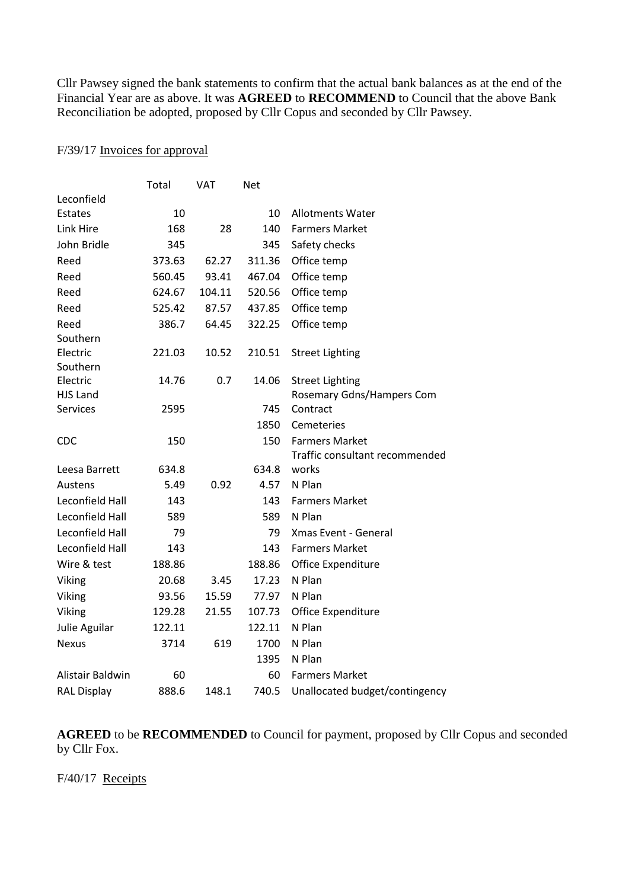Cllr Pawsey signed the bank statements to confirm that the actual bank balances as at the end of the Financial Year are as above. It was **AGREED** to **RECOMMEND** to Council that the above Bank Reconciliation be adopted, proposed by Cllr Copus and seconded by Cllr Pawsey.

### F/39/17 Invoices for approval

|                    | Total  | VAT    | <b>Net</b> |                                |
|--------------------|--------|--------|------------|--------------------------------|
| Leconfield         |        |        |            |                                |
| Estates            | 10     |        | 10         | <b>Allotments Water</b>        |
| Link Hire          | 168    | 28     | 140        | <b>Farmers Market</b>          |
| John Bridle        | 345    |        | 345        | Safety checks                  |
| Reed               | 373.63 | 62.27  | 311.36     | Office temp                    |
| Reed               | 560.45 | 93.41  | 467.04     | Office temp                    |
| Reed               | 624.67 | 104.11 | 520.56     | Office temp                    |
| Reed               | 525.42 | 87.57  | 437.85     | Office temp                    |
| Reed               | 386.7  | 64.45  | 322.25     | Office temp                    |
| Southern           |        |        |            |                                |
| Electric           | 221.03 | 10.52  | 210.51     | <b>Street Lighting</b>         |
| Southern           |        |        |            |                                |
| Electric           | 14.76  | 0.7    | 14.06      | <b>Street Lighting</b>         |
| <b>HJS Land</b>    |        |        |            | Rosemary Gdns/Hampers Com      |
| <b>Services</b>    | 2595   |        | 745        | Contract                       |
|                    |        |        | 1850       | Cemeteries                     |
| CDC                | 150    |        | 150        | <b>Farmers Market</b>          |
|                    |        |        |            | Traffic consultant recommended |
| Leesa Barrett      | 634.8  |        | 634.8      | works                          |
| Austens            | 5.49   | 0.92   | 4.57       | N Plan                         |
| Leconfield Hall    | 143    |        | 143        | <b>Farmers Market</b>          |
| Leconfield Hall    | 589    |        | 589        | N Plan                         |
| Leconfield Hall    | 79     |        | 79         | Xmas Event - General           |
| Leconfield Hall    | 143    |        | 143        | <b>Farmers Market</b>          |
| Wire & test        | 188.86 |        | 188.86     | Office Expenditure             |
| Viking             | 20.68  | 3.45   | 17.23      | N Plan                         |
| Viking             | 93.56  | 15.59  | 77.97      | N Plan                         |
| Viking             | 129.28 | 21.55  | 107.73     | Office Expenditure             |
| Julie Aguilar      | 122.11 |        | 122.11     | N Plan                         |
| <b>Nexus</b>       | 3714   | 619    | 1700       | N Plan                         |
|                    |        |        | 1395       | N Plan                         |
| Alistair Baldwin   | 60     |        | 60         | <b>Farmers Market</b>          |
| <b>RAL Display</b> | 888.6  | 148.1  | 740.5      | Unallocated budget/contingency |

**AGREED** to be **RECOMMENDED** to Council for payment, proposed by Cllr Copus and seconded by Cllr Fox.

F/40/17 Receipts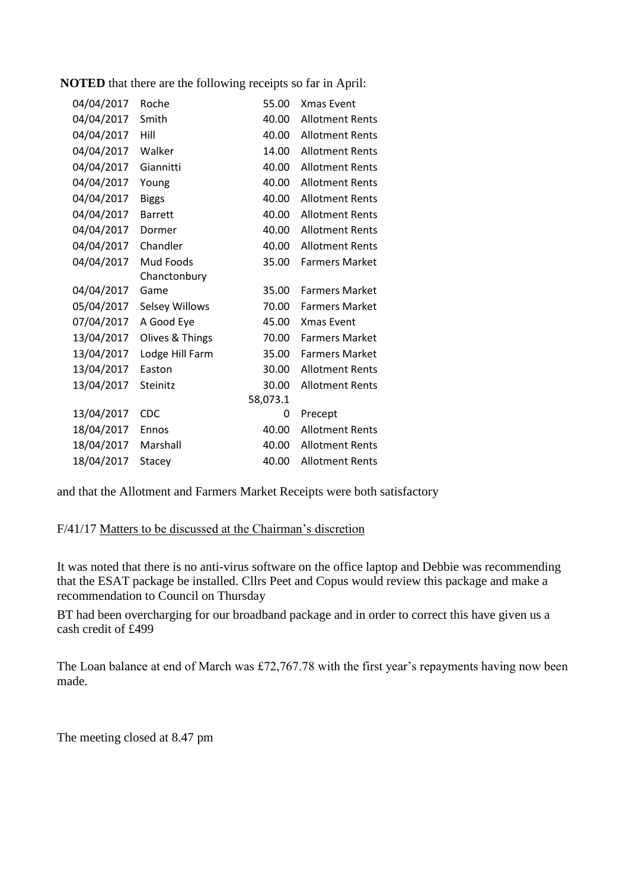**NOTED** that there are the following receipts so far in April:

| 04/04/2017 | Roche                 | 55.00    | <b>Xmas Event</b>      |
|------------|-----------------------|----------|------------------------|
| 04/04/2017 | Smith                 | 40.00    | <b>Allotment Rents</b> |
| 04/04/2017 | Hill                  | 40.00    | <b>Allotment Rents</b> |
| 04/04/2017 | Walker                | 14.00    | <b>Allotment Rents</b> |
| 04/04/2017 | Giannitti             | 40.00    | <b>Allotment Rents</b> |
| 04/04/2017 | Young                 | 40.00    | <b>Allotment Rents</b> |
| 04/04/2017 | <b>Biggs</b>          | 40.00    | <b>Allotment Rents</b> |
| 04/04/2017 | <b>Barrett</b>        | 40.00    | <b>Allotment Rents</b> |
| 04/04/2017 | Dormer                | 40.00    | <b>Allotment Rents</b> |
| 04/04/2017 | Chandler              | 40.00    | <b>Allotment Rents</b> |
| 04/04/2017 | Mud Foods             | 35.00    | <b>Farmers Market</b>  |
|            | Chanctonbury          |          |                        |
| 04/04/2017 | Game                  | 35.00    | <b>Farmers Market</b>  |
| 05/04/2017 | <b>Selsey Willows</b> | 70.00    | <b>Farmers Market</b>  |
| 07/04/2017 | A Good Eye            | 45.00    | <b>Xmas Event</b>      |
| 13/04/2017 | Olives & Things       | 70.00    | <b>Farmers Market</b>  |
| 13/04/2017 | Lodge Hill Farm       | 35.00    | <b>Farmers Market</b>  |
| 13/04/2017 | Easton                | 30.00    | <b>Allotment Rents</b> |
| 13/04/2017 | Steinitz              | 30.00    | <b>Allotment Rents</b> |
|            |                       | 58,073.1 |                        |
| 13/04/2017 | <b>CDC</b>            | 0        | Precept                |
| 18/04/2017 | Ennos                 | 40.00    | <b>Allotment Rents</b> |
| 18/04/2017 | Marshall              | 40.00    | <b>Allotment Rents</b> |
| 18/04/2017 | <b>Stacey</b>         | 40.00    | <b>Allotment Rents</b> |

and that the Allotment and Farmers Market Receipts were both satisfactory

F/41/17 Matters to be discussed at the Chairman's discretion

It was noted that there is no anti-virus software on the office laptop and Debbie was recommending that the ESAT package be installed. Cllrs Peet and Copus would review this package and make a recommendation to Council on Thursday

BT had been overcharging for our broadband package and in order to correct this have given us a cash credit of £499

The Loan balance at end of March was £72,767.78 with the first year's repayments having now been made.

The meeting closed at 8.47 pm